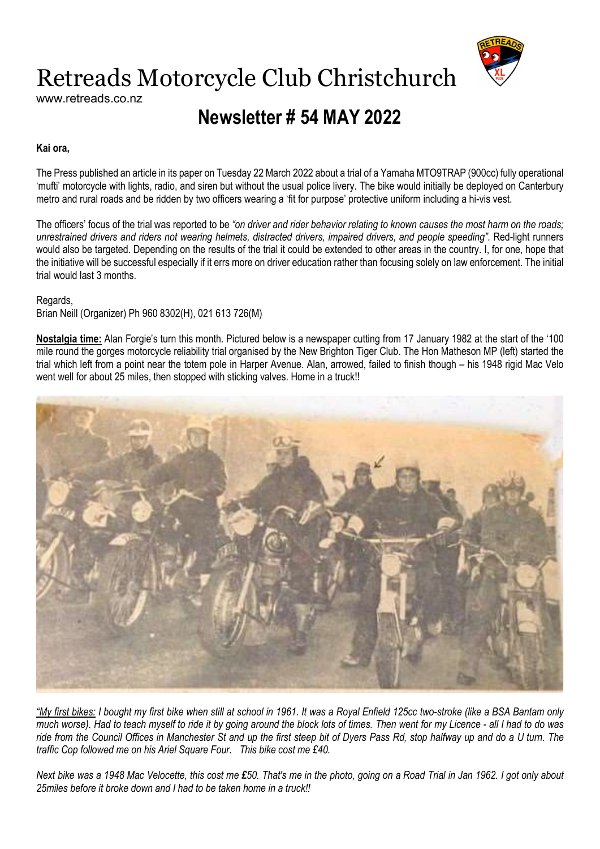

# Retreads Motorcycle Club Christchurch

www.retreads.co.nz

## Newsletter # 54 MAY 2022

#### Kai ora,

The Press published an article in its paper on Tuesday 22 March 2022 about a trial of a Yamaha MTO9TRAP (900cc) fully operational 'mufti' motorcycle with lights, radio, and siren but without the usual police livery. The bike would initially be deployed on Canterbury metro and rural roads and be ridden by two officers wearing a 'fit for purpose' protective uniform including a hi-vis vest.

The officers' focus of the trial was reported to be "on driver and rider behavior relating to known causes the most harm on the roads; unrestrained drivers and riders not wearing helmets, distracted drivers, impaired drivers, and people speeding". Red-light runners would also be targeted. Depending on the results of the trial it could be extended to other areas in the country. I, for one, hope that the initiative will be successful especially if it errs more on driver education rather than focusing solely on law enforcement. The initial trial would last 3 months.

#### Regards,

Brian Neill (Organizer) Ph 960 8302(H), 021 613 726(M)

Nostalgia time: Alan Forgie's turn this month. Pictured below is a newspaper cutting from 17 January 1982 at the start of the '100 mile round the gorges motorcycle reliability trial organised by the New Brighton Tiger Club. The Hon Matheson MP (left) started the trial which left from a point near the totem pole in Harper Avenue. Alan, arrowed, failed to finish though – his 1948 rigid Mac Velo went well for about 25 miles, then stopped with sticking valves. Home in a truck!!



"My first bikes: I bought my first bike when still at school in 1961. It was a Royal Enfield 125cc two-stroke (like a BSA Bantam only much worse). Had to teach myself to ride it by going around the block lots of times. Then went for my Licence - all I had to do was ride from the Council Offices in Manchester St and up the first steep bit of Dyers Pass Rd, stop halfway up and do a U turn. The traffic Cop followed me on his Ariel Square Four. This bike cost me £40.

Next bike was a 1948 Mac Velocette, this cost me £50. That's me in the photo, going on a Road Trial in Jan 1962. I got only about 25miles before it broke down and I had to be taken home in a truck!!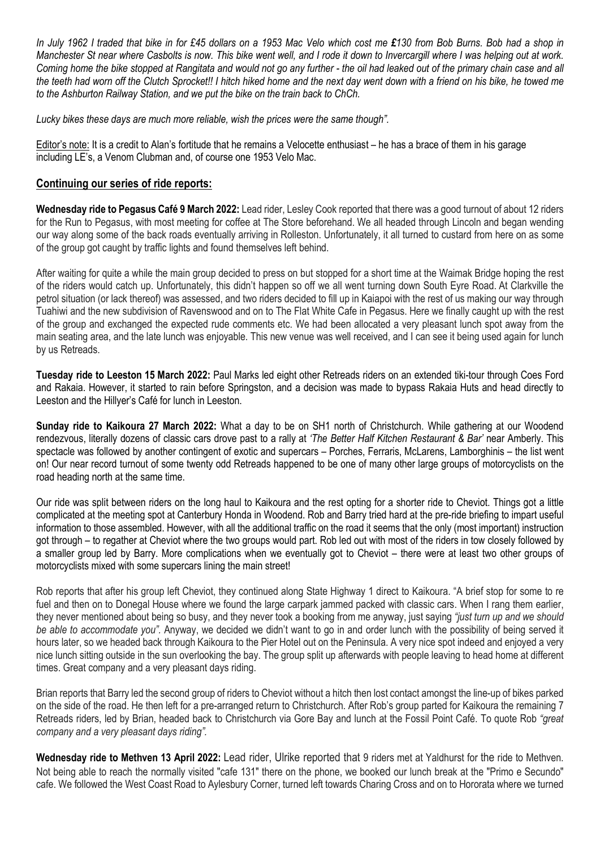In July 1962 I traded that bike in for £45 dollars on a 1953 Mac Velo which cost me £130 from Bob Burns. Bob had a shop in Manchester St near where Casbolts is now. This bike went well, and I rode it down to Invercargill where I was helping out at work. Coming home the bike stopped at Rangitata and would not go any further - the oil had leaked out of the primary chain case and all the teeth had worn off the Clutch Sprocket!! I hitch hiked home and the next day went down with a friend on his bike, he towed me to the Ashburton Railway Station, and we put the bike on the train back to ChCh.

Lucky bikes these days are much more reliable, wish the prices were the same though".

Editor's note: It is a credit to Alan's fortitude that he remains a Velocette enthusiast – he has a brace of them in his garage including LE's, a Venom Clubman and, of course one 1953 Velo Mac.

### Continuing our series of ride reports:

Wednesday ride to Pegasus Café 9 March 2022: Lead rider, Lesley Cook reported that there was a good turnout of about 12 riders for the Run to Pegasus, with most meeting for coffee at The Store beforehand. We all headed through Lincoln and began wending our way along some of the back roads eventually arriving in Rolleston. Unfortunately, it all turned to custard from here on as some of the group got caught by traffic lights and found themselves left behind.

After waiting for quite a while the main group decided to press on but stopped for a short time at the Waimak Bridge hoping the rest of the riders would catch up. Unfortunately, this didn't happen so off we all went turning down South Eyre Road. At Clarkville the petrol situation (or lack thereof) was assessed, and two riders decided to fill up in Kaiapoi with the rest of us making our way through Tuahiwi and the new subdivision of Ravenswood and on to The Flat White Cafe in Pegasus. Here we finally caught up with the rest of the group and exchanged the expected rude comments etc. We had been allocated a very pleasant lunch spot away from the main seating area, and the late lunch was enjoyable. This new venue was well received, and I can see it being used again for lunch by us Retreads.

Tuesday ride to Leeston 15 March 2022: Paul Marks led eight other Retreads riders on an extended tiki-tour through Coes Ford and Rakaia. However, it started to rain before Springston, and a decision was made to bypass Rakaia Huts and head directly to Leeston and the Hillyer's Café for lunch in Leeston.

Sunday ride to Kaikoura 27 March 2022: What a day to be on SH1 north of Christchurch. While gathering at our Woodend rendezvous, literally dozens of classic cars drove past to a rally at 'The Better Half Kitchen Restaurant & Bar' near Amberly. This spectacle was followed by another contingent of exotic and supercars – Porches, Ferraris, McLarens, Lamborghinis – the list went on! Our near record turnout of some twenty odd Retreads happened to be one of many other large groups of motorcyclists on the road heading north at the same time.

Our ride was split between riders on the long haul to Kaikoura and the rest opting for a shorter ride to Cheviot. Things got a little complicated at the meeting spot at Canterbury Honda in Woodend. Rob and Barry tried hard at the pre-ride briefing to impart useful information to those assembled. However, with all the additional traffic on the road it seems that the only (most important) instruction got through – to regather at Cheviot where the two groups would part. Rob led out with most of the riders in tow closely followed by a smaller group led by Barry. More complications when we eventually got to Cheviot – there were at least two other groups of motorcyclists mixed with some supercars lining the main street!

Rob reports that after his group left Cheviot, they continued along State Highway 1 direct to Kaikoura. "A brief stop for some to re fuel and then on to Donegal House where we found the large carpark jammed packed with classic cars. When I rang them earlier, they never mentioned about being so busy, and they never took a booking from me anyway, just saying "just turn up and we should be able to accommodate you". Anyway, we decided we didn't want to go in and order lunch with the possibility of being served it hours later, so we headed back through Kaikoura to the Pier Hotel out on the Peninsula. A very nice spot indeed and enjoyed a very nice lunch sitting outside in the sun overlooking the bay. The group split up afterwards with people leaving to head home at different times. Great company and a very pleasant days riding.

Brian reports that Barry led the second group of riders to Cheviot without a hitch then lost contact amongst the line-up of bikes parked on the side of the road. He then left for a pre-arranged return to Christchurch. After Rob's group parted for Kaikoura the remaining 7 Retreads riders, led by Brian, headed back to Christchurch via Gore Bay and lunch at the Fossil Point Café. To quote Rob "great company and a very pleasant days riding".

Wednesday ride to Methyen 13 April 2022: Lead rider, Ulrike reported that 9 riders met at Yaldhurst for the ride to Methyen. Not being able to reach the normally visited "cafe 131" there on the phone, we booked our lunch break at the "Primo e Secundo" cafe. We followed the West Coast Road to Aylesbury Corner, turned left towards Charing Cross and on to Hororata where we turned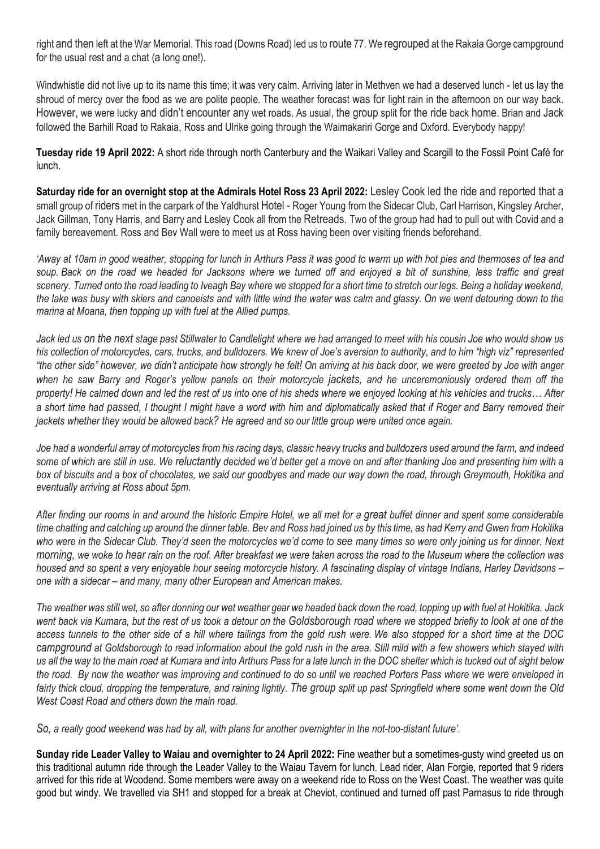right and then left at the War Memorial. This road (Downs Road) led us to route 77. We regrouped at the Rakaia Gorge campground for the usual rest and a chat (a long one!).

Windwhistle did not live up to its name this time; it was very calm. Arriving later in Methven we had a deserved lunch - let us lay the shroud of mercy over the food as we are polite people. The weather forecast was for light rain in the afternoon on our way back. However, we were lucky and didn't encounter any wet roads. As usual, the group split for the ride back home. Brian and Jack followed the Barhill Road to Rakaia, Ross and Ulrike going through the Waimakariri Gorge and Oxford. Everybody happy!

Tuesday ride 19 April 2022: A short ride through north Canterbury and the Waikari Valley and Scargill to the Fossil Point Café for lunch.

Saturday ride for an overnight stop at the Admirals Hotel Ross 23 April 2022: Lesley Cook led the ride and reported that a small group of riders met in the carpark of the Yaldhurst Hotel - Roger Young from the Sidecar Club, Carl Harrison, Kingsley Archer, Jack Gillman, Tony Harris, and Barry and Lesley Cook all from the Retreads. Two of the group had had to pull out with Covid and a family bereavement. Ross and Bev Wall were to meet us at Ross having been over visiting friends beforehand.

'Away at 10am in good weather, stopping for lunch in Arthurs Pass it was good to warm up with hot pies and thermoses of tea and soup. Back on the road we headed for Jacksons where we turned off and enjoyed a bit of sunshine, less traffic and great scenery. Turned onto the road leading to Iveagh Bay where we stopped for a short time to stretch our legs. Being a holiday weekend, the lake was busy with skiers and canoeists and with little wind the water was calm and glassy. On we went detouring down to the marina at Moana, then topping up with fuel at the Allied pumps.

Jack led us on the next stage past Stillwater to Candlelight where we had arranged to meet with his cousin Joe who would show us his collection of motorcycles, cars, trucks, and bulldozers. We knew of Joe's aversion to authority, and to him "high viz" represented "the other side" however, we didn't anticipate how strongly he felt! On arriving at his back door, we were greeted by Joe with anger when he saw Barry and Roger's yellow panels on their motorcycle jackets, and he unceremoniously ordered them off the property! He calmed down and led the rest of us into one of his sheds where we enjoyed looking at his vehicles and trucks… After a short time had passed, I thought I might have a word with him and diplomatically asked that if Roger and Barry removed their jackets whether they would be allowed back? He agreed and so our little group were united once again.

Joe had a wonderful array of motorcycles from his racing days, classic heavy trucks and bulldozers used around the farm, and indeed some of which are still in use. We reluctantly decided we'd better get a move on and after thanking Joe and presenting him with a box of biscuits and a box of chocolates, we said our goodbyes and made our way down the road, through Greymouth, Hokitika and eventually arriving at Ross about 5pm.

After finding our rooms in and around the historic Empire Hotel, we all met for a great buffet dinner and spent some considerable time chatting and catching up around the dinner table. Bev and Ross had joined us by this time, as had Kerry and Gwen from Hokitika who were in the Sidecar Club. They'd seen the motorcycles we'd come to see many times so were only joining us for dinner. Next morning, we woke to hear rain on the roof. After breakfast we were taken across the road to the Museum where the collection was housed and so spent a very enjoyable hour seeing motorcycle history. A fascinating display of vintage Indians, Harley Davidsons – one with a sidecar – and many, many other European and American makes.

The weather was still wet, so after donning our wet weather gear we headed back down the road, topping up with fuel at Hokitika. Jack went back via Kumara, but the rest of us took a detour on the Goldsborough road where we stopped briefly to look at one of the access tunnels to the other side of a hill where tailings from the gold rush were. We also stopped for a short time at the DOC campground at Goldsborough to read information about the gold rush in the area. Still mild with a few showers which stayed with us all the way to the main road at Kumara and into Arthurs Pass for a late lunch in the DOC shelter which is tucked out of sight below the road. By now the weather was improving and continued to do so until we reached Porters Pass where we were enveloped in fairly thick cloud, dropping the temperature, and raining lightly. The group split up past Springfield where some went down the Old West Coast Road and others down the main road.

So, a really good weekend was had by all, with plans for another overnighter in the not-too-distant future'.

Sunday ride Leader Valley to Waiau and overnighter to 24 April 2022: Fine weather but a sometimes-gusty wind greeted us on this traditional autumn ride through the Leader Valley to the Waiau Tavern for lunch. Lead rider, Alan Forgie, reported that 9 riders arrived for this ride at Woodend. Some members were away on a weekend ride to Ross on the West Coast. The weather was quite good but windy. We travelled via SH1 and stopped for a break at Cheviot, continued and turned off past Parnasus to ride through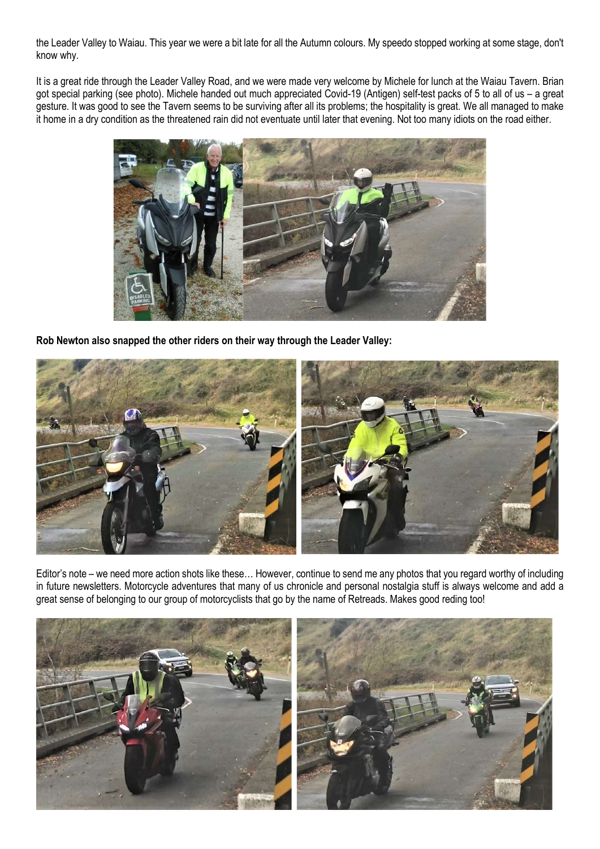the Leader Valley to Waiau. This year we were a bit late for all the Autumn colours. My speedo stopped working at some stage, don't know why.

It is a great ride through the Leader Valley Road, and we were made very welcome by Michele for lunch at the Waiau Tavern. Brian got special parking (see photo). Michele handed out much appreciated Covid-19 (Antigen) self-test packs of 5 to all of us – a great gesture. It was good to see the Tavern seems to be surviving after all its problems; the hospitality is great. We all managed to make it home in a dry condition as the threatened rain did not eventuate until later that evening. Not too many idiots on the road either.



Rob Newton also snapped the other riders on their way through the Leader Valley:



Editor's note – we need more action shots like these… However, continue to send me any photos that you regard worthy of including in future newsletters. Motorcycle adventures that many of us chronicle and personal nostalgia stuff is always welcome and add a great sense of belonging to our group of motorcyclists that go by the name of Retreads. Makes good reding too!